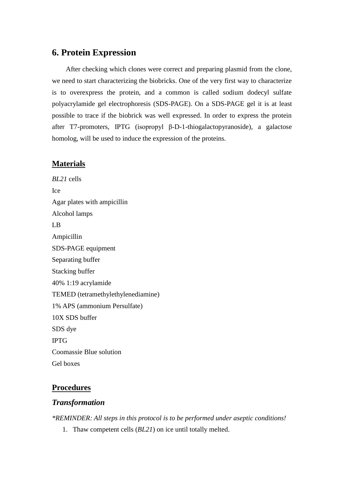# **6. Protein Expression**

After checking which clones were correct and preparing plasmid from the clone, we need to start characterizing the biobricks. One of the very first way to characterize is to overexpress the protein, and a common is called sodium dodecyl sulfate polyacrylamide gel electrophoresis (SDS-PAGE). On a SDS-PAGE gel it is at least possible to trace if the biobrick was well expressed. In order to express the protein after T7-promoters, IPTG (isopropyl β-D-1-thiogalactopyranoside), a galactose homolog, will be used to induce the expression of the proteins.

## **Materials**

*BL21* cells Ice Agar plates with ampicillin Alcohol lamps LB Ampicillin SDS-PAGE equipment Separating buffer Stacking buffer 40% 1:19 acrylamide TEMED (tetramethylethylenediamine) 1% APS (ammonium Persulfate) 10X SDS buffer SDS dye IPTG Coomassie Blue solution Gel boxes

## **Procedures**

#### *Transformation*

*\*REMINDER: All steps in this protocol is to be performed under aseptic conditions!*

1. Thaw competent cells (*BL21*) on ice until totally melted.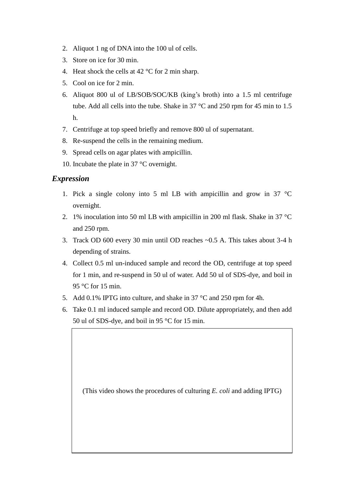- 2. Aliquot 1 ng of DNA into the 100 ul of cells.
- 3. Store on ice for 30 min.
- 4. Heat shock the cells at 42 °C for 2 min sharp.
- 5. Cool on ice for 2 min.
- 6. Aliquot 800 ul of LB/SOB/SOC/KB (king's broth) into a 1.5 ml centrifuge tube. Add all cells into the tube. Shake in 37 °C and 250 rpm for 45 min to 1.5 h.
- 7. Centrifuge at top speed briefly and remove 800 ul of supernatant.
- 8. Re-suspend the cells in the remaining medium.
- 9. Spread cells on agar plates with ampicillin.
- 10. Incubate the plate in 37 °C overnight.

## *Expression*

- 1. Pick a single colony into 5 ml LB with ampicillin and grow in 37  $\degree$ C overnight.
- 2. 1% inoculation into 50 ml LB with ampicillin in 200 ml flask. Shake in 37 °C and 250 rpm.
- 3. Track OD 600 every 30 min until OD reaches ~0.5 A. This takes about 3-4 h depending of strains.
- 4. Collect 0.5 ml un-induced sample and record the OD, centrifuge at top speed for 1 min, and re-suspend in 50 ul of water. Add 50 ul of SDS-dye, and boil in 95 °C for 15 min.
- 5. Add 0.1% IPTG into culture, and shake in 37 °C and 250 rpm for 4h.
- 6. Take 0.1 ml induced sample and record OD. Dilute appropriately, and then add 50 ul of SDS-dye, and boil in 95 °C for 15 min.

(This video shows the procedures of culturing *E. coli* and adding IPTG)